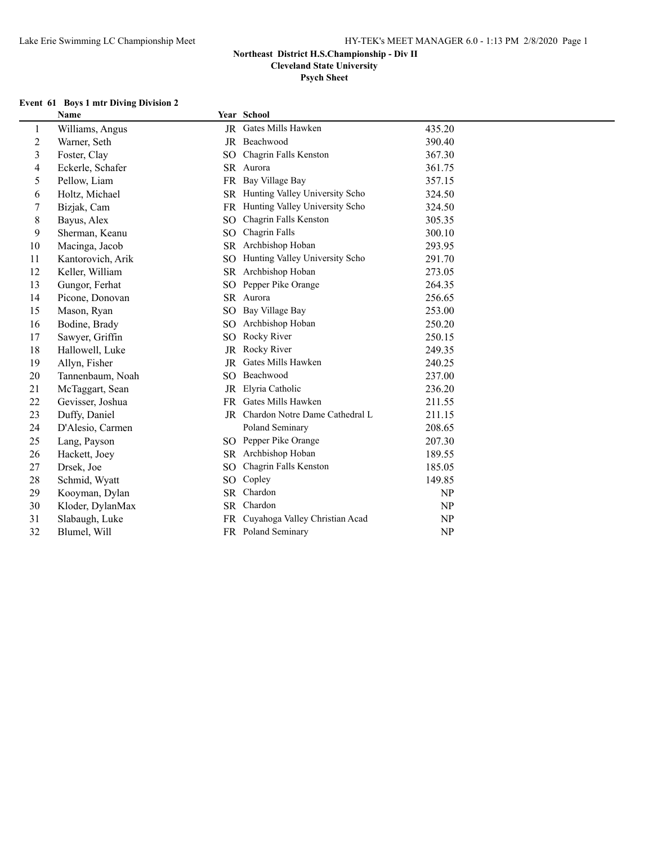**Cleveland State University**

**Psych Sheet**

### **Event 61 Boys 1 mtr Diving Division 2**

|                | $100$ ys 1 mm $1010$ me $1010$ mm $1000$<br>Name |                 | Year School                       |        |
|----------------|--------------------------------------------------|-----------------|-----------------------------------|--------|
| 1              | Williams, Angus                                  |                 | JR Gates Mills Hawken             | 435.20 |
| $\overline{c}$ | Warner, Seth                                     |                 | JR Beachwood                      | 390.40 |
| 3              | Foster, Clay                                     | SO <sub>1</sub> | Chagrin Falls Kenston             | 367.30 |
| 4              | Eckerle, Schafer                                 |                 | SR Aurora                         | 361.75 |
| 5              | Pellow, Liam                                     | <b>FR</b>       | Bay Village Bay                   | 357.15 |
| 6              | Holtz, Michael                                   |                 | SR Hunting Valley University Scho | 324.50 |
| 7              | Bizjak, Cam                                      | FR              | Hunting Valley University Scho    | 324.50 |
| 8              | Bayus, Alex                                      | SO              | Chagrin Falls Kenston             | 305.35 |
| 9              | Sherman, Keanu                                   | SO <sub>1</sub> | Chagrin Falls                     | 300.10 |
| 10             | Macinga, Jacob                                   |                 | SR Archbishop Hoban               | 293.95 |
| 11             | Kantorovich, Arik                                | SO <sub>1</sub> | Hunting Valley University Scho    | 291.70 |
| 12             | Keller, William                                  |                 | SR Archbishop Hoban               | 273.05 |
| 13             | Gungor, Ferhat                                   | SO.             | Pepper Pike Orange                | 264.35 |
| 14             | Picone, Donovan                                  |                 | SR Aurora                         | 256.65 |
| 15             | Mason, Ryan                                      | SO <sub>1</sub> | Bay Village Bay                   | 253.00 |
| 16             | Bodine, Brady                                    | SO <sub>1</sub> | Archbishop Hoban                  | 250.20 |
| 17             | Sawyer, Griffin                                  | SO.             | Rocky River                       | 250.15 |
| 18             | Hallowell, Luke                                  | <b>JR</b>       | Rocky River                       | 249.35 |
| 19             | Allyn, Fisher                                    | JR              | Gates Mills Hawken                | 240.25 |
| 20             | Tannenbaum, Noah                                 | SO              | Beachwood                         | 237.00 |
| 21             | McTaggart, Sean                                  | JR              | Elyria Catholic                   | 236.20 |
| 22             | Gevisser, Joshua                                 |                 | FR Gates Mills Hawken             | 211.55 |
| 23             | Duffy, Daniel                                    |                 | JR Chardon Notre Dame Cathedral L | 211.15 |
| 24             | D'Alesio, Carmen                                 |                 | Poland Seminary                   | 208.65 |
| 25             | Lang, Payson                                     |                 | SO Pepper Pike Orange             | 207.30 |
| 26             | Hackett, Joey                                    |                 | SR Archbishop Hoban               | 189.55 |
| 27             | Drsek, Joe                                       | SO <sub>1</sub> | Chagrin Falls Kenston             | 185.05 |
| 28             | Schmid, Wyatt                                    | SO.             | Copley                            | 149.85 |
| 29             | Kooyman, Dylan                                   | <b>SR</b>       | Chardon                           | NP     |
| 30             | Kloder, DylanMax                                 | SR              | Chardon                           | NP     |
| 31             | Slabaugh, Luke                                   | FR.             | Cuyahoga Valley Christian Acad    | NP     |
| 32             | Blumel, Will                                     |                 | FR Poland Seminary                | NP     |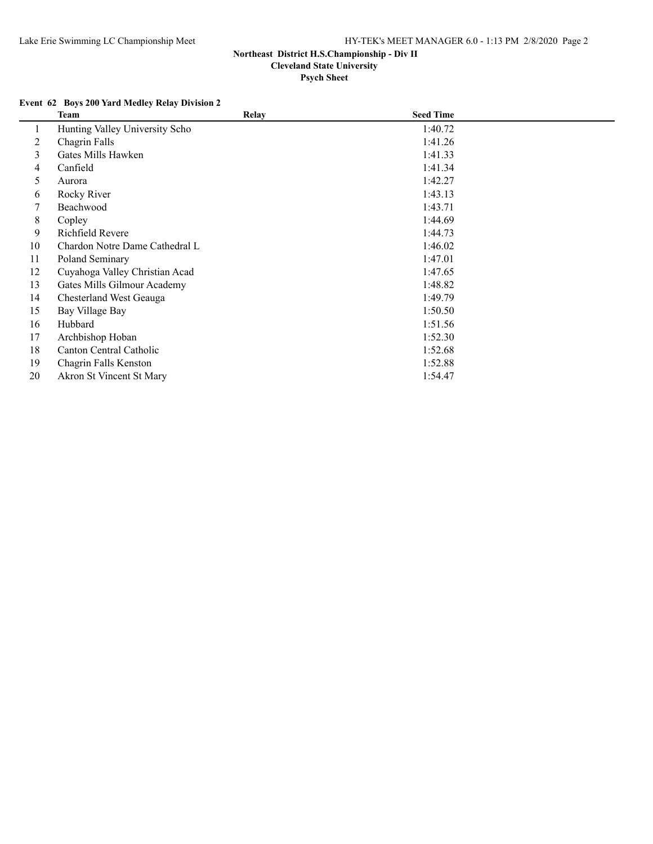**Psych Sheet**

## **Event 62 Boys 200 Yard Medley Relay Division 2**

|    | Team                           | <b>Relay</b> | <b>Seed Time</b> |  |
|----|--------------------------------|--------------|------------------|--|
| 1  | Hunting Valley University Scho |              | 1:40.72          |  |
| 2  | Chagrin Falls                  |              | 1:41.26          |  |
| 3  | Gates Mills Hawken             |              | 1:41.33          |  |
| 4  | Canfield                       |              | 1:41.34          |  |
| 5  | Aurora                         |              | 1:42.27          |  |
| 6  | Rocky River                    |              | 1:43.13          |  |
| 7  | Beachwood                      |              | 1:43.71          |  |
| 8  | Copley                         |              | 1:44.69          |  |
| 9  | Richfield Revere               |              | 1:44.73          |  |
| 10 | Chardon Notre Dame Cathedral L |              | 1:46.02          |  |
| 11 | Poland Seminary                |              | 1:47.01          |  |
| 12 | Cuyahoga Valley Christian Acad |              | 1:47.65          |  |
| 13 | Gates Mills Gilmour Academy    |              | 1:48.82          |  |
| 14 | Chesterland West Geauga        |              | 1:49.79          |  |
| 15 | Bay Village Bay                |              | 1:50.50          |  |
| 16 | Hubbard                        |              | 1:51.56          |  |
| 17 | Archbishop Hoban               |              | 1:52.30          |  |
| 18 | Canton Central Catholic        |              | 1:52.68          |  |
| 19 | Chagrin Falls Kenston          |              | 1:52.88          |  |
| 20 | Akron St Vincent St Mary       |              | 1:54.47          |  |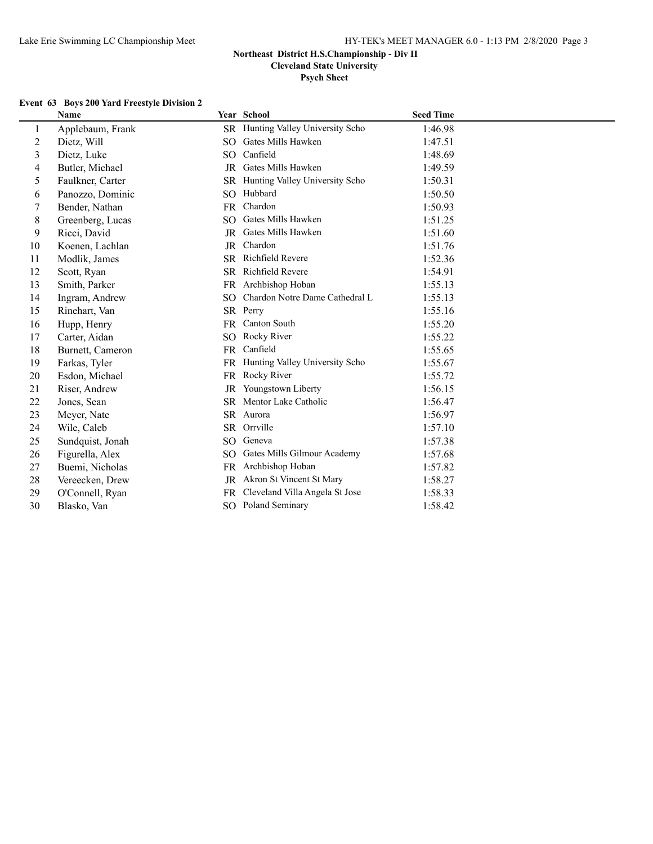**Psych Sheet**

## **Event 63 Boys 200 Yard Freestyle Division 2**

|                | <b>Name</b>      |                 | <b>Year School</b>                | <b>Seed Time</b> |
|----------------|------------------|-----------------|-----------------------------------|------------------|
| 1              | Applebaum, Frank |                 | SR Hunting Valley University Scho | 1:46.98          |
| $\overline{c}$ | Dietz, Will      | SO.             | Gates Mills Hawken                | 1:47.51          |
| 3              | Dietz, Luke      | SO.             | Canfield                          | 1:48.69          |
| 4              | Butler, Michael  |                 | JR Gates Mills Hawken             | 1:49.59          |
| 5              | Faulkner, Carter | SR.             | Hunting Valley University Scho    | 1:50.31          |
| 6              | Panozzo, Dominic | SO.             | Hubbard                           | 1:50.50          |
| 7              | Bender, Nathan   | <b>FR</b>       | Chardon                           | 1:50.93          |
| 8              | Greenberg, Lucas | SO.             | Gates Mills Hawken                | 1:51.25          |
| 9              | Ricci, David     |                 | JR Gates Mills Hawken             | 1:51.60          |
| 10             | Koenen, Lachlan  |                 | JR Chardon                        | 1:51.76          |
| 11             | Modlik, James    |                 | SR Richfield Revere               | 1:52.36          |
| 12             | Scott, Ryan      |                 | SR Richfield Revere               | 1:54.91          |
| 13             | Smith, Parker    | FR.             | Archbishop Hoban                  | 1:55.13          |
| 14             | Ingram, Andrew   | SO.             | Chardon Notre Dame Cathedral L    | 1:55.13          |
| 15             | Rinehart, Van    |                 | SR Perry                          | 1:55.16          |
| 16             | Hupp, Henry      | FR              | <b>Canton South</b>               | 1:55.20          |
| 17             | Carter, Aidan    | SO.             | Rocky River                       | 1:55.22          |
| 18             | Burnett, Cameron | <b>FR</b>       | Canfield                          | 1:55.65          |
| 19             | Farkas, Tyler    |                 | FR Hunting Valley University Scho | 1:55.67          |
| 20             | Esdon, Michael   | FR              | Rocky River                       | 1:55.72          |
| 21             | Riser, Andrew    | JR              | Youngstown Liberty                | 1:56.15          |
| 22             | Jones, Sean      |                 | SR Mentor Lake Catholic           | 1:56.47          |
| 23             | Meyer, Nate      |                 | SR Aurora                         | 1:56.97          |
| 24             | Wile, Caleb      |                 | SR Orrville                       | 1:57.10          |
| 25             | Sundquist, Jonah | SO <sub>1</sub> | Geneva                            | 1:57.38          |
| 26             | Figurella, Alex  | SO.             | Gates Mills Gilmour Academy       | 1:57.68          |
| 27             | Buemi, Nicholas  | FR.             | Archbishop Hoban                  | 1:57.82          |
| 28             | Vereecken, Drew  | JR              | Akron St Vincent St Mary          | 1:58.27          |
| 29             | O'Connell, Ryan  | FR              | Cleveland Villa Angela St Jose    | 1:58.33          |
| 30             | Blasko, Van      |                 | <b>SO</b> Poland Seminary         | 1:58.42          |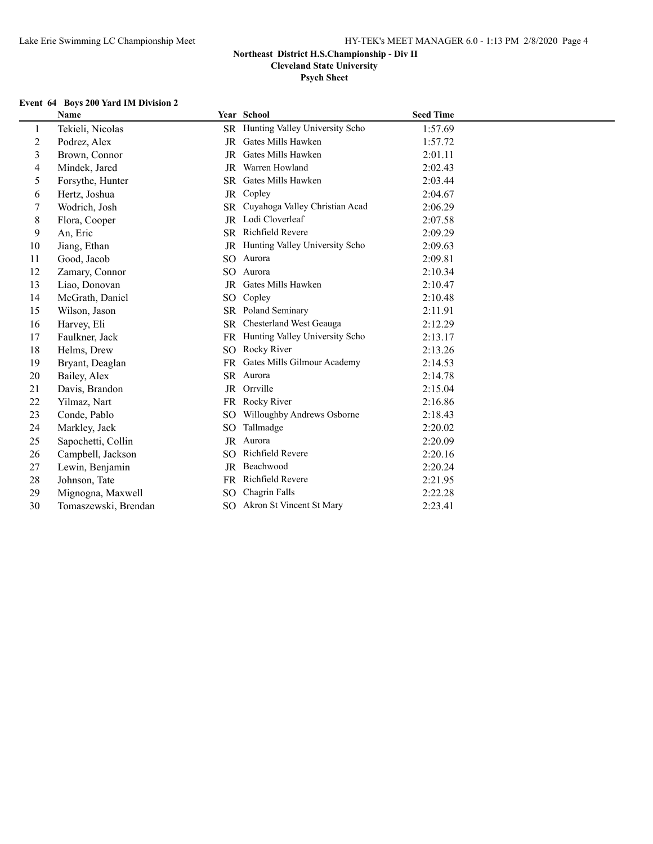## **Psych Sheet**

## **Event 64 Boys 200 Yard IM Division 2**

|                | Name                 |                 | Year School                              | <b>Seed Time</b> |
|----------------|----------------------|-----------------|------------------------------------------|------------------|
| 1              | Tekieli, Nicolas     |                 | SR Hunting Valley University Scho        | 1:57.69          |
| $\overline{c}$ | Podrez, Alex         | JR              | Gates Mills Hawken                       | 1:57.72          |
| 3              | Brown, Connor        | <b>JR</b>       | Gates Mills Hawken                       | 2:01.11          |
| 4              | Mindek, Jared        | JR              | Warren Howland                           | 2:02.43          |
| 5              | Forsythe, Hunter     | <b>SR</b>       | Gates Mills Hawken                       | 2:03.44          |
| 6              | Hertz, Joshua        |                 | JR Copley                                | 2:04.67          |
| 7              | Wodrich, Josh        | SR.             | Cuyahoga Valley Christian Acad           | 2:06.29          |
| 8              | Flora, Cooper        |                 | JR Lodi Cloverleaf                       | 2:07.58          |
| 9              | An, Eric             |                 | SR Richfield Revere                      | 2:09.29          |
| 10             | Jiang, Ethan         |                 | <b>JR</b> Hunting Valley University Scho | 2:09.63          |
| 11             | Good, Jacob          | SO.             | Aurora                                   | 2:09.81          |
| 12             | Zamary, Connor       | SO.             | Aurora                                   | 2:10.34          |
| 13             | Liao, Donovan        | <b>JR</b>       | Gates Mills Hawken                       | 2:10.47          |
| 14             | McGrath, Daniel      | SO <sub>1</sub> | Copley                                   | 2:10.48          |
| 15             | Wilson, Jason        |                 | SR Poland Seminary                       | 2:11.91          |
| 16             | Harvey, Eli          |                 | SR Chesterland West Geauga               | 2:12.29          |
| 17             | Faulkner, Jack       | <b>FR</b>       | Hunting Valley University Scho           | 2:13.17          |
| 18             | Helms, Drew          | SO <sub>1</sub> | Rocky River                              | 2:13.26          |
| 19             | Bryant, Deaglan      | FR              | Gates Mills Gilmour Academy              | 2:14.53          |
| 20             | Bailey, Alex         |                 | SR Aurora                                | 2:14.78          |
| 21             | Davis, Brandon       |                 | JR Orrville                              | 2:15.04          |
| 22             | Yilmaz, Nart         |                 | FR Rocky River                           | 2:16.86          |
| 23             | Conde, Pablo         | SO.             | Willoughby Andrews Osborne               | 2:18.43          |
| 24             | Markley, Jack        | SO.             | Tallmadge                                | 2:20.02          |
| 25             | Sapochetti, Collin   |                 | JR Aurora                                | 2:20.09          |
| 26             | Campbell, Jackson    | SO.             | Richfield Revere                         | 2:20.16          |
| 27             | Lewin, Benjamin      | JR              | Beachwood                                | 2:20.24          |
| 28             | Johnson, Tate        | FR.             | Richfield Revere                         | 2:21.95          |
| 29             | Mignogna, Maxwell    | SO.             | Chagrin Falls                            | 2:22.28          |
| 30             | Tomaszewski, Brendan |                 | SO Akron St Vincent St Mary              | 2:23.41          |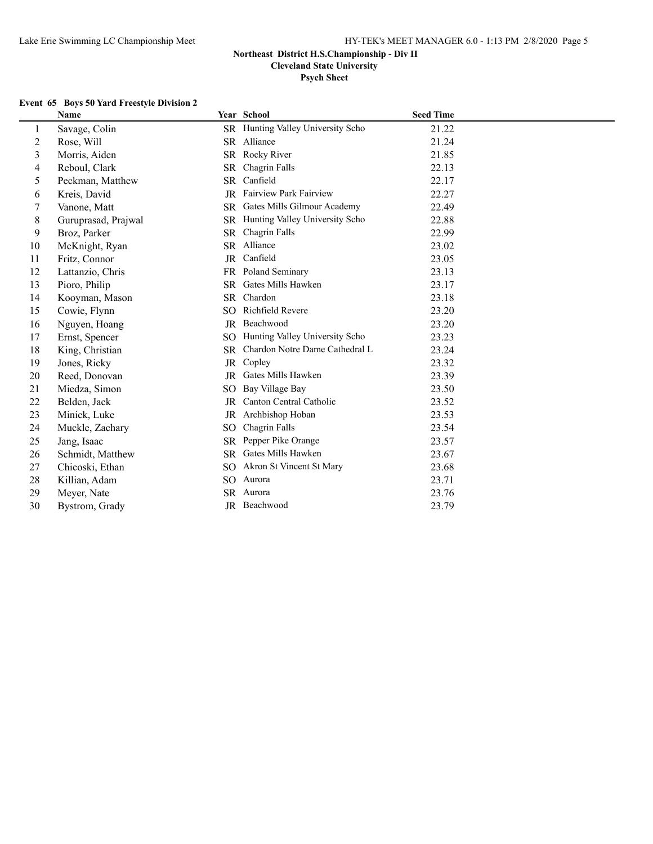**Psych Sheet**

#### **Event 65 Boys 50 Yard Freestyle Division 2**

|                         | <b>Name</b>         |                 | Year School                       | <b>Seed Time</b> |
|-------------------------|---------------------|-----------------|-----------------------------------|------------------|
| 1                       | Savage, Colin       |                 | SR Hunting Valley University Scho | 21.22            |
| 2                       | Rose, Will          |                 | SR Alliance                       | 21.24            |
| $\overline{\mathbf{3}}$ | Morris, Aiden       | <b>SR</b>       | Rocky River                       | 21.85            |
| 4                       | Reboul, Clark       | <b>SR</b>       | Chagrin Falls                     | 22.13            |
| 5                       | Peckman, Matthew    | SR.             | Canfield                          | 22.17            |
| 6                       | Kreis, David        |                 | JR Fairview Park Fairview         | 22.27            |
| 7                       | Vanone, Matt        |                 | SR Gates Mills Gilmour Academy    | 22.49            |
| 8                       | Guruprasad, Prajwal | <b>SR</b>       | Hunting Valley University Scho    | 22.88            |
| 9                       | Broz, Parker        | <b>SR</b>       | Chagrin Falls                     | 22.99            |
| 10                      | McKnight, Ryan      |                 | SR Alliance                       | 23.02            |
| 11                      | Fritz, Connor       | JR              | Canfield                          | 23.05            |
| 12                      | Lattanzio, Chris    |                 | FR Poland Seminary                | 23.13            |
| 13                      | Pioro, Philip       | <b>SR</b>       | Gates Mills Hawken                | 23.17            |
| 14                      | Kooyman, Mason      | SR.             | Chardon                           | 23.18            |
| 15                      | Cowie, Flynn        | SO.             | Richfield Revere                  | 23.20            |
| 16                      | Nguyen, Hoang       | JR              | Beachwood                         | 23.20            |
| 17                      | Ernst, Spencer      | SO.             | Hunting Valley University Scho    | 23.23            |
| 18                      | King, Christian     | <b>SR</b>       | Chardon Notre Dame Cathedral L    | 23.24            |
| 19                      | Jones, Ricky        | JR              | Copley                            | 23.32            |
| 20                      | Reed, Donovan       | <b>JR</b>       | Gates Mills Hawken                | 23.39            |
| 21                      | Miedza, Simon       | SO.             | Bay Village Bay                   | 23.50            |
| 22                      | Belden, Jack        | <b>JR</b>       | Canton Central Catholic           | 23.52            |
| 23                      | Minick, Luke        | JR              | Archbishop Hoban                  | 23.53            |
| 24                      | Muckle, Zachary     | SO.             | Chagrin Falls                     | 23.54            |
| 25                      | Jang, Isaac         | <b>SR</b>       | Pepper Pike Orange                | 23.57            |
| 26                      | Schmidt, Matthew    |                 | SR Gates Mills Hawken             | 23.67            |
| 27                      | Chicoski, Ethan     | SO.             | Akron St Vincent St Mary          | 23.68            |
| 28                      | Killian, Adam       | SO <sub>1</sub> | Aurora                            | 23.71            |
| 29                      | Meyer, Nate         | SR.             | Aurora                            | 23.76            |
| 30                      | Bystrom, Grady      |                 | JR Beachwood                      | 23.79            |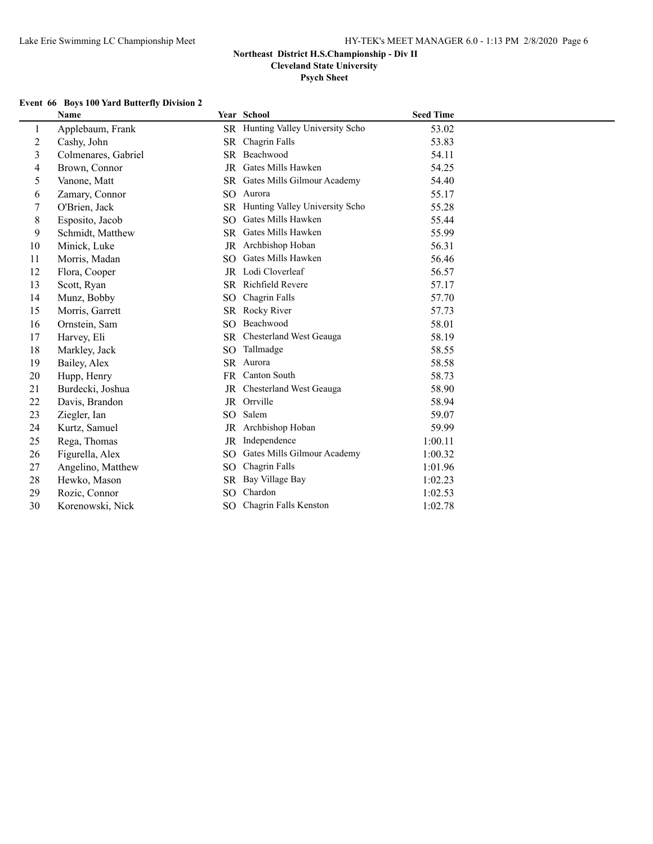**Cleveland State University**

**Psych Sheet**

## **Event 66 Boys 100 Yard Butterfly Division 2**

|                | <b>Name</b>         |                 | Year School                    | <b>Seed Time</b> |
|----------------|---------------------|-----------------|--------------------------------|------------------|
| 1              | Applebaum, Frank    | SR              | Hunting Valley University Scho | 53.02            |
| $\overline{c}$ | Cashy, John         | SR.             | Chagrin Falls                  | 53.83            |
| 3              | Colmenares, Gabriel | <b>SR</b>       | Beachwood                      | 54.11            |
| 4              | Brown, Connor       | JR              | Gates Mills Hawken             | 54.25            |
| 5              | Vanone, Matt        | SR.             | Gates Mills Gilmour Academy    | 54.40            |
| 6              | Zamary, Connor      | SO.             | Aurora                         | 55.17            |
| 7              | O'Brien, Jack       | <b>SR</b>       | Hunting Valley University Scho | 55.28            |
| 8              | Esposito, Jacob     | SO <sub>1</sub> | Gates Mills Hawken             | 55.44            |
| 9              | Schmidt, Matthew    | SR.             | Gates Mills Hawken             | 55.99            |
| 10             | Minick, Luke        | JR              | Archbishop Hoban               | 56.31            |
| 11             | Morris, Madan       | SO.             | Gates Mills Hawken             | 56.46            |
| 12             | Flora, Cooper       | JR              | Lodi Cloverleaf                | 56.57            |
| 13             | Scott, Ryan         | SR.             | <b>Richfield Revere</b>        | 57.17            |
| 14             | Munz, Bobby         | SO.             | Chagrin Falls                  | 57.70            |
| 15             | Morris, Garrett     | SR              | Rocky River                    | 57.73            |
| 16             | Ornstein, Sam       | SO <sub>1</sub> | Beachwood                      | 58.01            |
| 17             | Harvey, Eli         | <b>SR</b>       | Chesterland West Geauga        | 58.19            |
| 18             | Markley, Jack       | SO.             | Tallmadge                      | 58.55            |
| 19             | Bailey, Alex        | SR.             | Aurora                         | 58.58            |
| 20             | Hupp, Henry         | FR.             | Canton South                   | 58.73            |
| 21             | Burdecki, Joshua    | JR              | Chesterland West Geauga        | 58.90            |
| 22             | Davis, Brandon      | JR              | Orrville                       | 58.94            |
| 23             | Ziegler, Ian        | SO.             | Salem                          | 59.07            |
| 24             | Kurtz, Samuel       | JR              | Archbishop Hoban               | 59.99            |
| 25             | Rega, Thomas        | JR              | Independence                   | 1:00.11          |
| 26             | Figurella, Alex     | SO.             | Gates Mills Gilmour Academy    | 1:00.32          |
| 27             | Angelino, Matthew   | SO <sub>1</sub> | Chagrin Falls                  | 1:01.96          |
| 28             | Hewko, Mason        | SR              | Bay Village Bay                | 1:02.23          |
| 29             | Rozic, Connor       | SO.             | Chardon                        | 1:02.53          |
| 30             | Korenowski, Nick    | SO.             | Chagrin Falls Kenston          | 1:02.78          |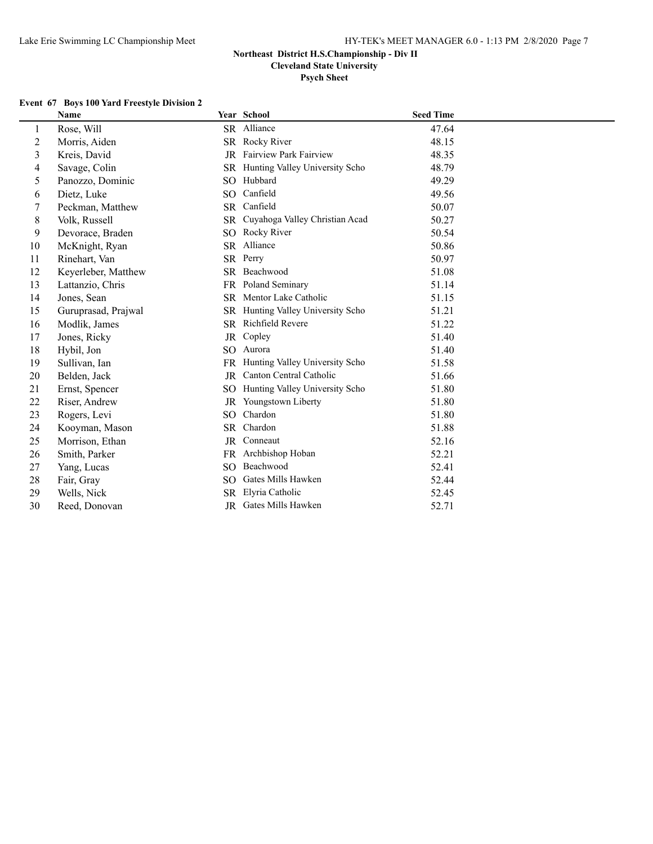**Cleveland State University**

**Psych Sheet**

### **Event 67 Boys 100 Yard Freestyle Division 2**

|                  | Name                |                 | Year School                       | <b>Seed Time</b> |
|------------------|---------------------|-----------------|-----------------------------------|------------------|
| 1                | Rose, Will          |                 | SR Alliance                       | 47.64            |
| $\boldsymbol{2}$ | Morris, Aiden       |                 | SR Rocky River                    | 48.15            |
| 3                | Kreis, David        | <b>JR</b>       | <b>Fairview Park Fairview</b>     | 48.35            |
| 4                | Savage, Colin       |                 | SR Hunting Valley University Scho | 48.79            |
| 5                | Panozzo, Dominic    | SO.             | Hubbard                           | 49.29            |
| 6                | Dietz, Luke         | SO.             | Canfield                          | 49.56            |
| 7                | Peckman, Matthew    |                 | SR Canfield                       | 50.07            |
| $\,8$            | Volk, Russell       | SR.             | Cuyahoga Valley Christian Acad    | 50.27            |
| 9                | Devorace, Braden    | SO.             | Rocky River                       | 50.54            |
| 10               | McKnight, Ryan      |                 | SR Alliance                       | 50.86            |
| 11               | Rinehart, Van       |                 | SR Perry                          | 50.97            |
| 12               | Keyerleber, Matthew |                 | SR Beachwood                      | 51.08            |
| 13               | Lattanzio, Chris    |                 | FR Poland Seminary                | 51.14            |
| 14               | Jones, Sean         | SR.             | Mentor Lake Catholic              | 51.15            |
| 15               | Guruprasad, Prajwal | SR.             | Hunting Valley University Scho    | 51.21            |
| 16               | Modlik, James       |                 | SR Richfield Revere               | 51.22            |
| 17               | Jones, Ricky        | JR              | Copley                            | 51.40            |
| 18               | Hybil, Jon          | SO.             | Aurora                            | 51.40            |
| 19               | Sullivan, Ian       | FR.             | Hunting Valley University Scho    | 51.58            |
| 20               | Belden, Jack        | JR              | Canton Central Catholic           | 51.66            |
| 21               | Ernst, Spencer      | SO.             | Hunting Valley University Scho    | 51.80            |
| 22               | Riser, Andrew       |                 | JR Youngstown Liberty             | 51.80            |
| 23               | Rogers, Levi        | SO <sub>1</sub> | Chardon                           | 51.80            |
| 24               | Kooyman, Mason      |                 | SR Chardon                        | 51.88            |
| 25               | Morrison, Ethan     | JR              | Conneaut                          | 52.16            |
| 26               | Smith, Parker       |                 | FR Archbishop Hoban               | 52.21            |
| 27               | Yang, Lucas         | SO.             | Beachwood                         | 52.41            |
| 28               | Fair, Gray          | SO.             | Gates Mills Hawken                | 52.44            |
| 29               | Wells, Nick         |                 | SR Elyria Catholic                | 52.45            |
| 30               | Reed, Donovan       |                 | JR Gates Mills Hawken             | 52.71            |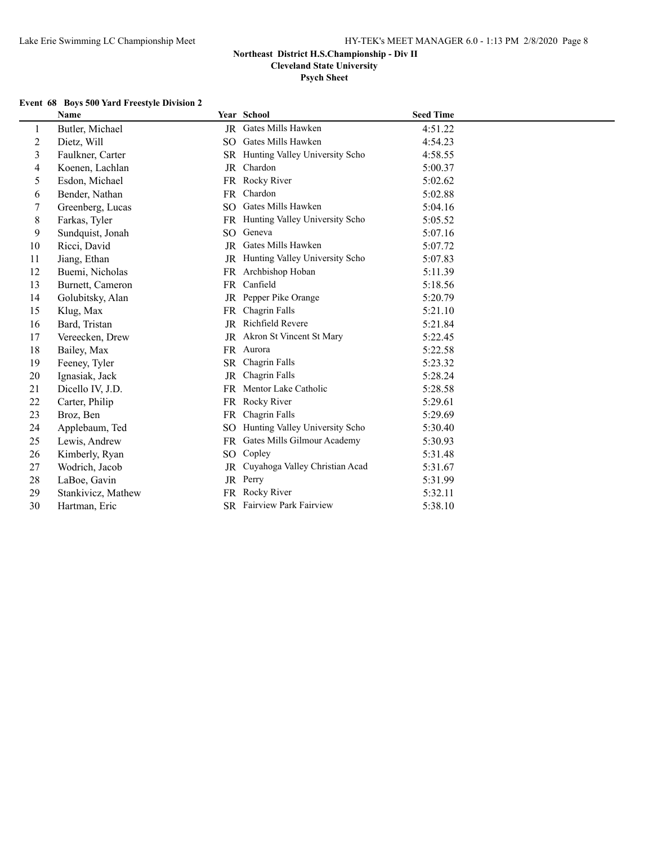**Cleveland State University**

**Psych Sheet**

### **Event 68 Boys 500 Yard Freestyle Division 2**

|    | <b>Name</b>        |                 | Year School                       | <b>Seed Time</b> |
|----|--------------------|-----------------|-----------------------------------|------------------|
| 1  | Butler, Michael    |                 | JR Gates Mills Hawken             | 4:51.22          |
| 2  | Dietz, Will        | SO.             | Gates Mills Hawken                | 4:54.23          |
| 3  | Faulkner, Carter   |                 | SR Hunting Valley University Scho | 4:58.55          |
| 4  | Koenen, Lachlan    |                 | JR Chardon                        | 5:00.37          |
| 5  | Esdon, Michael     |                 | FR Rocky River                    | 5:02.62          |
| 6  | Bender, Nathan     |                 | FR Chardon                        | 5:02.88          |
| 7  | Greenberg, Lucas   | SO <sub>2</sub> | Gates Mills Hawken                | 5:04.16          |
| 8  | Farkas, Tyler      |                 | FR Hunting Valley University Scho | 5:05.52          |
| 9  | Sundquist, Jonah   | SO.             | Geneva                            | 5:07.16          |
| 10 | Ricci, David       |                 | JR Gates Mills Hawken             | 5:07.72          |
| 11 | Jiang, Ethan       |                 | JR Hunting Valley University Scho | 5:07.83          |
| 12 | Buemi, Nicholas    |                 | FR Archbishop Hoban               | 5:11.39          |
| 13 | Burnett, Cameron   |                 | FR Canfield                       | 5:18.56          |
| 14 | Golubitsky, Alan   | JR              | Pepper Pike Orange                | 5:20.79          |
| 15 | Klug, Max          | FR.             | Chagrin Falls                     | 5:21.10          |
| 16 | Bard, Tristan      | JR              | Richfield Revere                  | 5:21.84          |
| 17 | Vereecken, Drew    |                 | JR Akron St Vincent St Mary       | 5:22.45          |
| 18 | Bailey, Max        |                 | FR Aurora                         | 5:22.58          |
| 19 | Feeney, Tyler      | <b>SR</b>       | Chagrin Falls                     | 5:23.32          |
| 20 | Ignasiak, Jack     | JR              | Chagrin Falls                     | 5:28.24          |
| 21 | Dicello IV, J.D.   | FR.             | Mentor Lake Catholic              | 5:28.58          |
| 22 | Carter, Philip     | FR              | Rocky River                       | 5:29.61          |
| 23 | Broz, Ben          | FR              | Chagrin Falls                     | 5:29.69          |
| 24 | Applebaum, Ted     |                 | SO Hunting Valley University Scho | 5:30.40          |
| 25 | Lewis, Andrew      |                 | FR Gates Mills Gilmour Academy    | 5:30.93          |
| 26 | Kimberly, Ryan     |                 | SO Copley                         | 5:31.48          |
| 27 | Wodrich, Jacob     |                 | JR Cuyahoga Valley Christian Acad | 5:31.67          |
| 28 | LaBoe, Gavin       |                 | JR Perry                          | 5:31.99          |
| 29 | Stankivicz, Mathew | FR              | Rocky River                       | 5:32.11          |
| 30 | Hartman, Eric      |                 | SR Fairview Park Fairview         | 5:38.10          |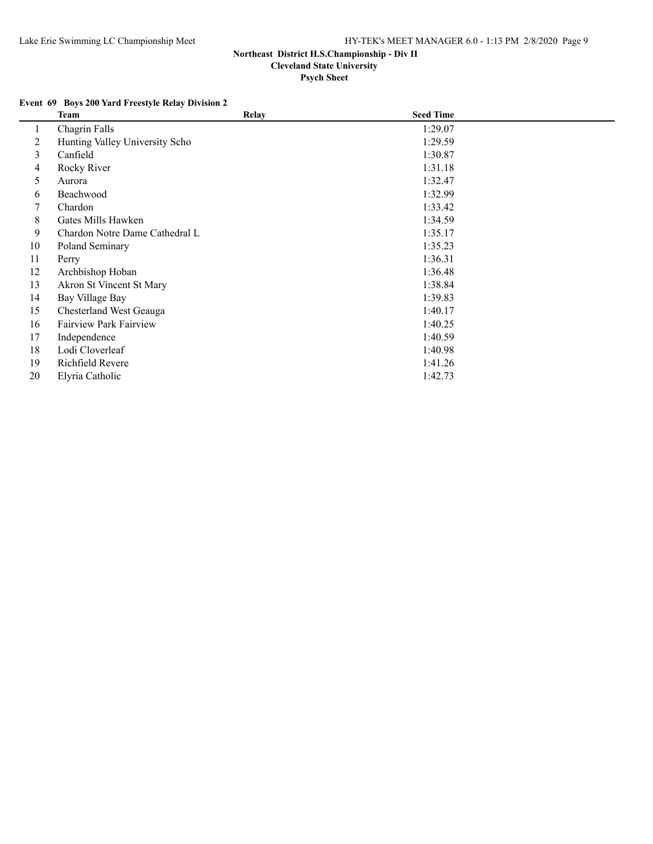**Psych Sheet**

## **Event 69 Boys 200 Yard Freestyle Relay Division 2**

|          | Team                           | <b>Relay</b> | <b>Seed Time</b> |  |
|----------|--------------------------------|--------------|------------------|--|
| $\bf{l}$ | Chagrin Falls                  |              | 1:29.07          |  |
| 2        | Hunting Valley University Scho |              | 1:29.59          |  |
| 3        | Canfield                       |              | 1:30.87          |  |
| 4        | Rocky River                    |              | 1:31.18          |  |
| 5        | Aurora                         |              | 1:32.47          |  |
| 6        | Beachwood                      |              | 1:32.99          |  |
| 7        | Chardon                        |              | 1:33.42          |  |
| 8        | Gates Mills Hawken             |              | 1:34.59          |  |
| 9        | Chardon Notre Dame Cathedral L |              | 1:35.17          |  |
| 10       | Poland Seminary                |              | 1:35.23          |  |
| 11       | Perry                          |              | 1:36.31          |  |
| 12       | Archbishop Hoban               |              | 1:36.48          |  |
| 13       | Akron St Vincent St Mary       |              | 1:38.84          |  |
| 14       | Bay Village Bay                |              | 1:39.83          |  |
| 15       | Chesterland West Geauga        |              | 1:40.17          |  |
| 16       | <b>Fairview Park Fairview</b>  |              | 1:40.25          |  |
| 17       | Independence                   |              | 1:40.59          |  |
| 18       | Lodi Cloverleaf                |              | 1:40.98          |  |
| 19       | Richfield Revere               |              | 1:41.26          |  |
| 20       | Elyria Catholic                |              | 1:42.73          |  |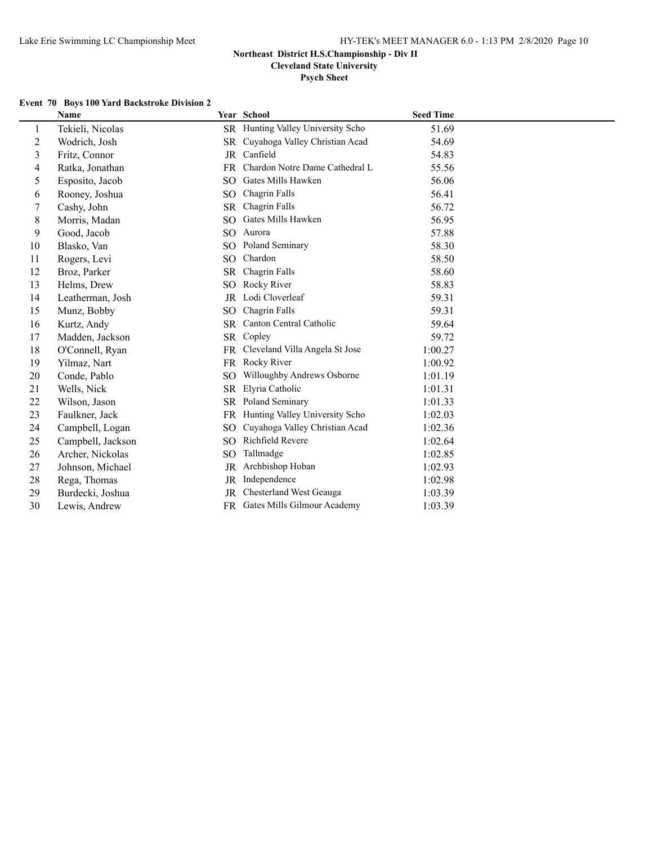**Cleveland State University**

**Psych Sheet**

#### **Event 70 Boys 100 Yard Backstroke Division 2**

|                | <b>Name</b>       |                 | Year School                    | <b>Seed Time</b> |
|----------------|-------------------|-----------------|--------------------------------|------------------|
| 1              | Tekieli, Nicolas  | SR              | Hunting Valley University Scho | 51.69            |
| $\overline{c}$ | Wodrich, Josh     | SR              | Cuyahoga Valley Christian Acad | 54.69            |
| 3              | Fritz, Connor     | JR              | Canfield                       | 54.83            |
| 4              | Ratka, Jonathan   | FR              | Chardon Notre Dame Cathedral L | 55.56            |
| 5              | Esposito, Jacob   | SO.             | Gates Mills Hawken             | 56.06            |
| 6              | Rooney, Joshua    | SO.             | Chagrin Falls                  | 56.41            |
| 7              | Cashy, John       | <b>SR</b>       | Chagrin Falls                  | 56.72            |
| 8              | Morris, Madan     | <b>SO</b>       | Gates Mills Hawken             | 56.95            |
| 9              | Good, Jacob       | SO.             | Aurora                         | 57.88            |
| 10             | Blasko, Van       | SO.             | Poland Seminary                | 58.30            |
| 11             | Rogers, Levi      | SO.             | Chardon                        | 58.50            |
| 12             | Broz, Parker      | <b>SR</b>       | Chagrin Falls                  | 58.60            |
| 13             | Helms, Drew       | SO              | Rocky River                    | 58.83            |
| 14             | Leatherman, Josh  | JR              | Lodi Cloverleaf                | 59.31            |
| 15             | Munz, Bobby       | SO.             | Chagrin Falls                  | 59.31            |
| 16             | Kurtz, Andy       | <b>SR</b>       | Canton Central Catholic        | 59.64            |
| 17             | Madden, Jackson   | SR              | Copley                         | 59.72            |
| 18             | O'Connell, Ryan   | <b>FR</b>       | Cleveland Villa Angela St Jose | 1:00.27          |
| 19             | Yilmaz, Nart      | FR.             | Rocky River                    | 1:00.92          |
| 20             | Conde, Pablo      | SO <sub>1</sub> | Willoughby Andrews Osborne     | 1:01.19          |
| 21             | Wells, Nick       | SR              | Elyria Catholic                | 1:01.31          |
| 22             | Wilson, Jason     | SR              | Poland Seminary                | 1:01.33          |
| 23             | Faulkner, Jack    | <b>FR</b>       | Hunting Valley University Scho | 1:02.03          |
| 24             | Campbell, Logan   | SO <sub>1</sub> | Cuyahoga Valley Christian Acad | 1:02.36          |
| 25             | Campbell, Jackson | SO <sub>1</sub> | Richfield Revere               | 1:02.64          |
| 26             | Archer, Nickolas  | SO <sub>1</sub> | Tallmadge                      | 1:02.85          |
| 27             | Johnson, Michael  | JR              | Archbishop Hoban               | 1:02.93          |
| 28             | Rega, Thomas      | JR              | Independence                   | 1:02.98          |
| 29             | Burdecki, Joshua  | JR              | Chesterland West Geauga        | 1:03.39          |
| 30             | Lewis, Andrew     |                 | FR Gates Mills Gilmour Academy | 1:03.39          |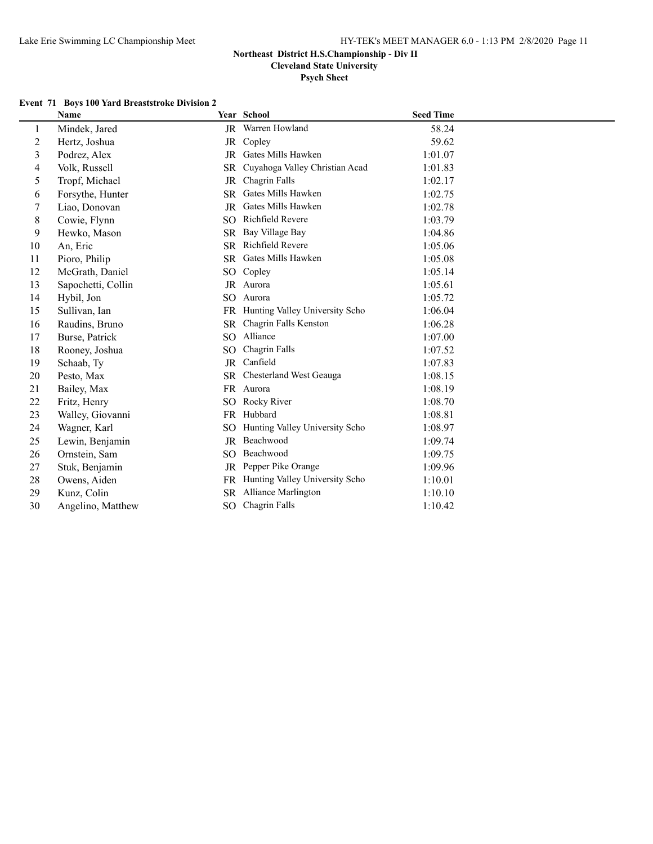**Cleveland State University**

**Psych Sheet**

#### **Event 71 Boys 100 Yard Breaststroke Division 2**

|                | Name               |           | Year School                       | <b>Seed Time</b> |
|----------------|--------------------|-----------|-----------------------------------|------------------|
| 1              | Mindek, Jared      |           | JR Warren Howland                 | 58.24            |
| $\overline{2}$ | Hertz, Joshua      | JR        | Copley                            | 59.62            |
| 3              | Podrez, Alex       | JR        | Gates Mills Hawken                | 1:01.07          |
| 4              | Volk, Russell      | SR        | Cuyahoga Valley Christian Acad    | 1:01.83          |
| 5              | Tropf, Michael     | <b>JR</b> | Chagrin Falls                     | 1:02.17          |
| 6              | Forsythe, Hunter   | SR        | Gates Mills Hawken                | 1:02.75          |
| 7              | Liao, Donovan      | JR        | Gates Mills Hawken                | 1:02.78          |
| 8              | Cowie, Flynn       | SO.       | Richfield Revere                  | 1:03.79          |
| 9              | Hewko, Mason       | SR        | Bay Village Bay                   | 1:04.86          |
| 10             | An, Eric           | SR        | <b>Richfield Revere</b>           | 1:05.06          |
| 11             | Pioro, Philip      | SR        | Gates Mills Hawken                | 1:05.08          |
| 12             | McGrath, Daniel    | SO.       | Copley                            | 1:05.14          |
| 13             | Sapochetti, Collin |           | JR Aurora                         | 1:05.61          |
| 14             | Hybil, Jon         | SO.       | Aurora                            | 1:05.72          |
| 15             | Sullivan, Ian      |           | FR Hunting Valley University Scho | 1:06.04          |
| 16             | Raudins, Bruno     | <b>SR</b> | Chagrin Falls Kenston             | 1:06.28          |
| 17             | Burse, Patrick     | SO.       | Alliance                          | 1:07.00          |
| 18             | Rooney, Joshua     | SO.       | Chagrin Falls                     | 1:07.52          |
| 19             | Schaab, Ty         | JR        | Canfield                          | 1:07.83          |
| 20             | Pesto, Max         | SR        | Chesterland West Geauga           | 1:08.15          |
| 21             | Bailey, Max        |           | FR Aurora                         | 1:08.19          |
| 22             | Fritz, Henry       | SO.       | Rocky River                       | 1:08.70          |
| 23             | Walley, Giovanni   | FR        | Hubbard                           | 1:08.81          |
| 24             | Wagner, Karl       | SO.       | Hunting Valley University Scho    | 1:08.97          |
| 25             | Lewin, Benjamin    |           | JR Beachwood                      | 1:09.74          |
| 26             | Ornstein, Sam      | SO.       | Beachwood                         | 1:09.75          |
| 27             | Stuk, Benjamin     | JR        | Pepper Pike Orange                | 1:09.96          |
| 28             | Owens, Aiden       | FR        | Hunting Valley University Scho    | 1:10.01          |
| 29             | Kunz, Colin        | SR.       | Alliance Marlington               | 1:10.10          |
| 30             | Angelino, Matthew  | SO.       | Chagrin Falls                     | 1:10.42          |